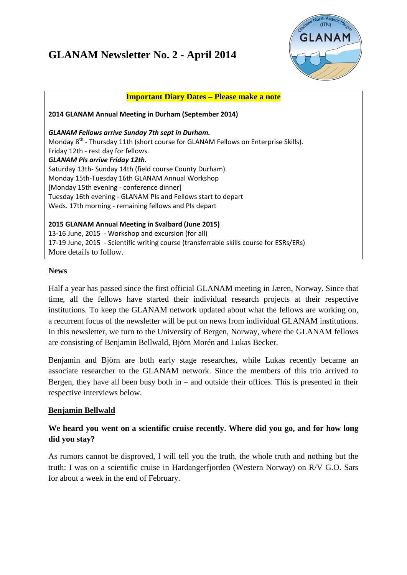# **GLANAM Newsletter No. 2 - April 2014**



| <b>Important Diary Dates - Please make a note</b>                                              |
|------------------------------------------------------------------------------------------------|
| 2014 GLANAM Annual Meeting in Durham (September 2014)                                          |
| <b>GLANAM Fellows arrive Sunday 7th sept in Durham.</b>                                        |
| Monday 8 <sup>th</sup> - Thursday 11th (short course for GLANAM Fellows on Enterprise Skills). |
| Friday 12th - rest day for fellows.                                                            |
| <b>GLANAM PIs arrive Friday 12th.</b>                                                          |
| Saturday 13th-Sunday 14th (field course County Durham).                                        |
| Monday 15th-Tuesday 16th GLANAM Annual Workshop                                                |
| [Monday 15th evening - conference dinner]                                                      |
| Tuesday 16th evening - GLANAM PIs and Fellows start to depart                                  |
| Weds. 17th morning - remaining fellows and PIs depart                                          |
|                                                                                                |
| 2015 GLANAM Annual Meeting in Svalbard (June 2015)                                             |
| 13-16 June, 2015 - Workshop and excursion (for all)                                            |
| 17-19 June, 2015 - Scientific writing course (transferrable skills course for ESRs/ERs)        |
| More details to follow.                                                                        |

#### **News**

Half a year has passed since the first official GLANAM meeting in Jæren, Norway. Since that time, all the fellows have started their individual research projects at their respective institutions. To keep the GLANAM network updated about what the fellows are working on, a recurrent focus of the newsletter will be put on news from individual GLANAM institutions. In this newsletter, we turn to the University of Bergen, Norway, where the GLANAM fellows are consisting of Benjamin Bellwald, Björn Morén and Lukas Becker.

Benjamin and Björn are both early stage researches, while Lukas recently became an associate researcher to the GLANAM network. Since the members of this trio arrived to Bergen, they have all been busy both in  $-$  and outside their offices. This is presented in their respective interviews below.

## **Benjamin Bellwald**

## **We heard you went on a scientific cruise recently. Where did you go, and for how long did you stay?**

As rumors cannot be disproved, I will tell you the truth, the whole truth and nothing but the truth: I was on a scientific cruise in Hardangerfjorden (Western Norway) on R/V G.O. Sars for about a week in the end of February.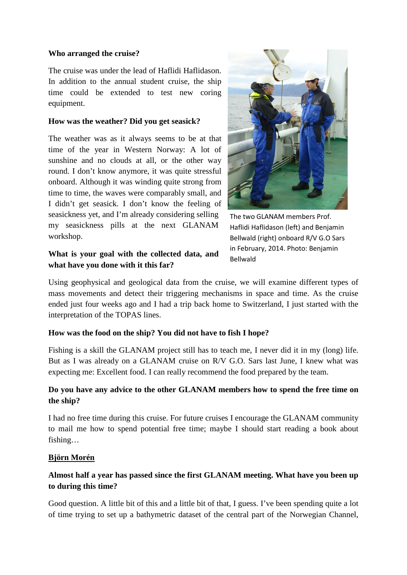#### **Who arranged the cruise?**

The cruise was under the lead of Haflidi Haflidason. In addition to the annual student cruise, the ship time could be extended to test new coring equipment.

#### **How was the weather? Did you get seasick?**

The weather was as it always seems to be at that time of the year in Western Norway: A lot of sunshine and no clouds at all, or the other way round. I don't know anymore, it was quite stressful onboard. Although it was winding quite strong from time to time, the waves were comparably small, and I didn't get seasick. I don't know the feeling of seasickness yet, and I'm already considering selling my seasickness pills at the next GLANAM workshop.

## **What is your goal with the collected data, and what have you done with it this far?**



The two GLANAM members Prof. Haflidi Haflidason (left) and Benjamin Bellwald (right) onboard R/V G.O Sars in February, 2014. Photo: Benjamin Bellwald

Using geophysical and geological data from the cruise, we will examine different types of mass movements and detect their triggering mechanisms in space and time. As the cruise ended just four weeks ago and I had a trip back home to Switzerland, I just started with the interpretation of the TOPAS lines.

## **How was the food on the ship? You did not have to fish I hope?**

Fishing is a skill the GLANAM project still has to teach me, I never did it in my (long) life. But as I was already on a GLANAM cruise on R/V G.O. Sars last June, I knew what was expecting me: Excellent food. I can really recommend the food prepared by the team.

## **Do you have any advice to the other GLANAM members how to spend the free time on the ship?**

I had no free time during this cruise. For future cruises I encourage the GLANAM community to mail me how to spend potential free time; maybe I should start reading a book about fishing…

## **Björn Morén**

# **Almost half a year has passed since the first GLANAM meeting. What have you been up to during this time?**

Good question. A little bit of this and a little bit of that, I guess. I've been spending quite a lot of time trying to set up a bathymetric dataset of the central part of the Norwegian Channel,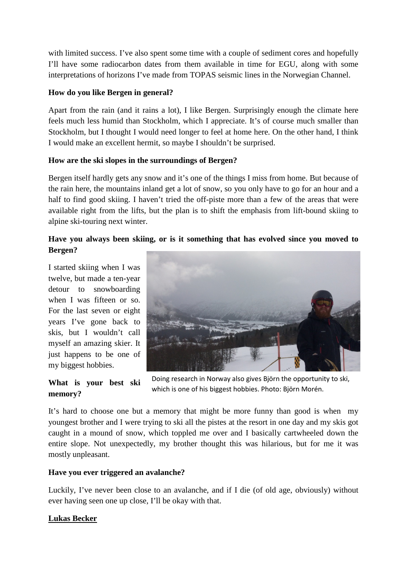with limited success. I've also spent some time with a couple of sediment cores and hopefully I'll have some radiocarbon dates from them available in time for EGU, along with some interpretations of horizons I've made from TOPAS seismic lines in the Norwegian Channel.

## **How do you like Bergen in general?**

Apart from the rain (and it rains a lot), I like Bergen. Surprisingly enough the climate here feels much less humid than Stockholm, which I appreciate. It's of course much smaller than Stockholm, but I thought I would need longer to feel at home here. On the other hand, I think I would make an excellent hermit, so maybe I shouldn't be surprised.

## **How are the ski slopes in the surroundings of Bergen?**

Bergen itself hardly gets any snow and it's one of the things I miss from home. But because of the rain here, the mountains inland get a lot of snow, so you only have to go for an hour and a half to find good skiing. I haven't tried the off-piste more than a few of the areas that were available right from the lifts, but the plan is to shift the emphasis from lift-bound skiing to alpine ski-touring next winter.

# **Have you always been skiing, or is it something that has evolved since you moved to Bergen?**

I started skiing when I was twelve, but made a ten-year detour to snowboarding when I was fifteen or so. For the last seven or eight years I've gone back to skis, but I wouldn't call myself an amazing skier. It just happens to be one of my biggest hobbies.



**What is your best ski memory?**

Doing research in Norway also gives Björn the opportunity to ski, which is one of his biggest hobbies. Photo: Björn Morén.

It's hard to choose one but a memory that might be more funny than good is when my youngest brother and I were trying to ski all the pistes at the resort in one day and my skis got caught in a mound of snow, which toppled me over and I basically cartwheeled down the entire slope. Not unexpectedly, my brother thought this was hilarious, but for me it was mostly unpleasant.

## **Have you ever triggered an avalanche?**

Luckily, I've never been close to an avalanche, and if I die (of old age, obviously) without ever having seen one up close, I'll be okay with that.

## **Lukas Becker**